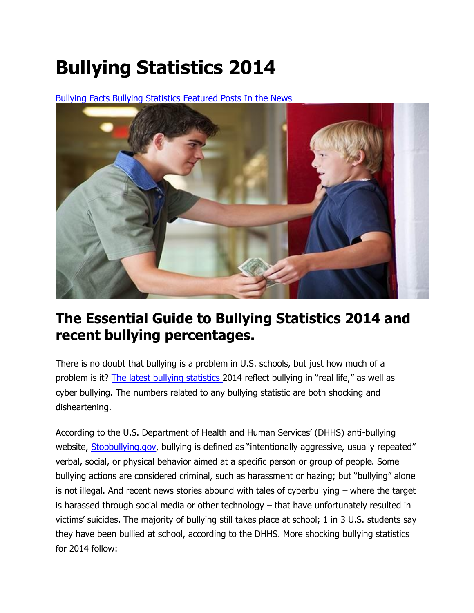# **Bullying Statistics 2014**

[Bullying Facts](http://nobullying.com/category/bullying-facts/) [Bullying Statistics](http://nobullying.com/category/bullying-facts/bullying-statistics/) [Featured Posts](http://nobullying.com/category/featured-posts/) [In the News](http://nobullying.com/category/in-the-news/)



# **The Essential Guide to Bullying Statistics 2014 and recent bullying percentages.**

There is no doubt that bullying is a problem in U.S. schools, but just how much of a problem is it? [The latest bullying statistics](http://nobullying.com/bullying-statistics/) 2014 reflect bullying in "real life," as well as cyber bullying. The numbers related to any bullying statistic are both shocking and disheartening.

According to the U.S. Department of Health and Human Services" (DHHS) anti-bullying website, [Stopbullying.gov](http://www.stopbullying.gov/), bullying is defined as "intentionally aggressive, usually repeated" verbal, social, or physical behavior aimed at a specific person or group of people. Some bullying actions are considered criminal, such as harassment or hazing; but "bullying" alone is not illegal. And recent news stories abound with tales of cyberbullying – where the target is harassed through social media or other technology – that have unfortunately resulted in victims" suicides. The majority of bullying still takes place at school; 1 in 3 U.S. students say they have been bullied at school, according to the DHHS. More shocking bullying statistics for 2014 follow: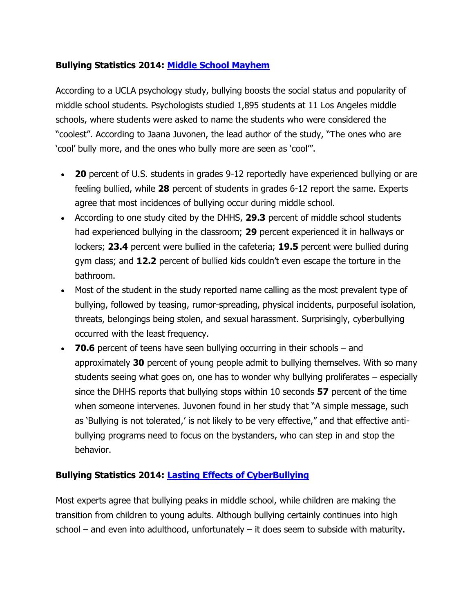### **Bullying Statistics 2014: [Middle School Mayhem](http://nobullying.com/bullying-in-middle-school/)**

According to a UCLA psychology study, bullying boosts the social status and popularity of middle school students. Psychologists studied 1,895 students at 11 Los Angeles middle schools, where students were asked to name the students who were considered the "coolest". According to Jaana Juvonen, the lead author of the study, "The ones who are "cool" bully more, and the ones who bully more are seen as "cool"".

- **20** percent of U.S. students in grades 9-12 reportedly have experienced bullying or are feeling bullied, while **28** percent of students in grades 6-12 report the same. Experts agree that most incidences of bullying occur during middle school.
- According to one study cited by the DHHS, **29.3** percent of middle school students had experienced bullying in the classroom; **29** percent experienced it in hallways or lockers; **23.4** percent were bullied in the cafeteria; **19.5** percent were bullied during gym class; and **12.2** percent of bullied kids couldn"t even escape the torture in the bathroom.
- Most of the student in the study reported name calling as the most prevalent type of bullying, followed by teasing, rumor-spreading, physical incidents, purposeful isolation, threats, belongings being stolen, and sexual harassment. Surprisingly, cyberbullying occurred with the least frequency.
- **70.6** percent of teens have seen bullying occurring in their schools and approximately **30** percent of young people admit to bullying themselves. With so many students seeing what goes on, one has to wonder why bullying proliferates – especially since the DHHS reports that bullying stops within 10 seconds **57** percent of the time when someone intervenes. Juvonen found in her study that "A simple message, such as "Bullying is not tolerated," is not likely to be very effective," and that effective antibullying programs need to focus on the bystanders, who can step in and stop the behavior.

### **Bullying Statistics 2014: [Lasting Effects of CyberBullying](http://nobullying.com/the-effects-of-cyber-bullying/)**

Most experts agree that bullying peaks in middle school, while children are making the transition from children to young adults. Although bullying certainly continues into high school – and even into adulthood, unfortunately – it does seem to subside with maturity.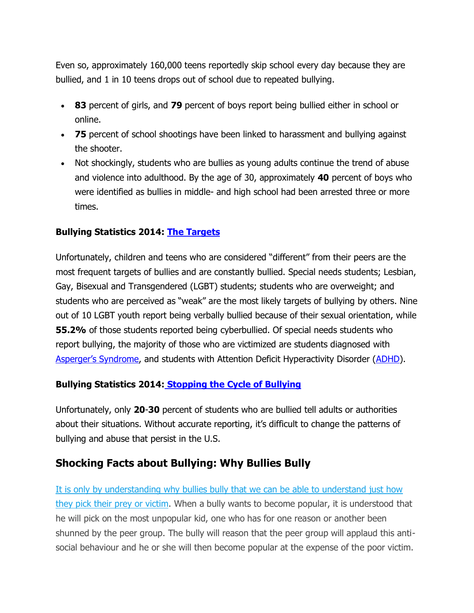Even so, approximately 160,000 teens reportedly skip school every day because they are bullied, and 1 in 10 teens drops out of school due to repeated bullying.

- **83** percent of girls, and **79** percent of boys report being bullied either in school or online.
- **75** percent of school shootings have been linked to harassment and bullying against the shooter.
- Not shockingly, students who are bullies as young adults continue the trend of abuse and violence into adulthood. By the age of 30, approximately **40** percent of boys who were identified as bullies in middle- and high school had been arrested three or more times.

### **Bullying Statistics 2014: [The Targets](http://nobullying.com/major-bullying-targets-in-the-uk/)**

Unfortunately, children and teens who are considered "different" from their peers are the most frequent targets of bullies and are constantly bullied. Special needs students; Lesbian, Gay, Bisexual and Transgendered (LGBT) students; students who are overweight; and students who are perceived as "weak" are the most likely targets of bullying by others. Nine out of 10 LGBT youth report being verbally bullied because of their sexual orientation, while **55.2%** of those students reported being cyberbullied. Of special needs students who report bullying, the majority of those who are victimized are students diagnosed with [Asperger"s Syndrome](http://nobullying.com/asperger-syndrome/), and students with Attention Deficit Hyperactivity Disorder [\(ADHD\)](http://nobullying.com/ADHD).

### **Bullying Statistics 2014: [Stopping the Cycle of Bullying](http://nobullying.com/10-ways-to-stop-bullying/)**

Unfortunately, only **20**-**30** percent of students who are bullied tell adults or authorities about their situations. Without accurate reporting, it's difficult to change the patterns of bullying and abuse that persist in the U.S.

### **Shocking Facts about Bullying: Why Bullies Bully**

[It is only by understanding why bullies bully that we can be able to understand just how](http://nobullying.com/why-bully/)  [they pick their prey or victim.](http://nobullying.com/why-bully/) When a bully wants to become popular, it is understood that he will pick on the most unpopular kid, one who has for one reason or another been shunned by the peer group. The bully will reason that the peer group will applaud this antisocial behaviour and he or she will then become popular at the expense of the poor victim.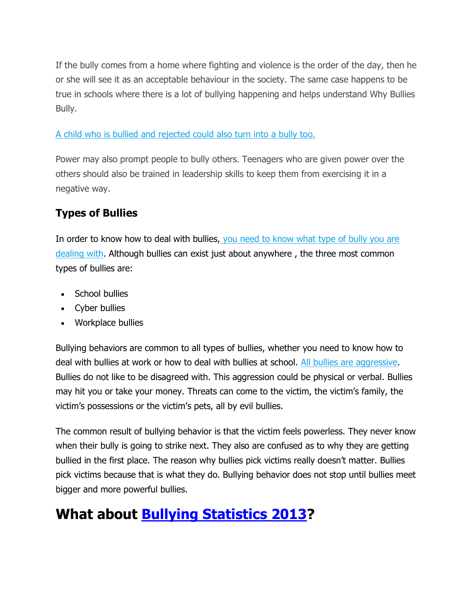If the bully comes from a home where fighting and violence is the order of the day, then he or she will see it as an acceptable behaviour in the society. The same case happens to be true in schools where there is a lot of bullying happening and helps understand Why Bullies Bully.

### [A child who is bullied and rejected could also turn into a bully too.](http://nobullying.com/why-would-people-bully/)

Power may also prompt people to bully others. Teenagers who are given power over the others should also be trained in leadership skills to keep them from exercising it in a negative way.

# **Types of Bullies**

In order to know how to deal with bullies, you need to know what type of bully you are [dealing with.](http://nobullying.com/andrea-mathews-on-bullies-in-school/) Although bullies can exist just about anywhere, the three most common types of bullies are:

- School bullies
- Cyber bullies
- Workplace bullies

Bullying behaviors are common to all types of bullies, whether you need to know how to deal with bullies at work or how to deal with bullies at school. [All bullies are aggressive.](http://nobullying.com/bullying-when-should-parents-get-involved/) Bullies do not like to be disagreed with. This aggression could be physical or verbal. Bullies may hit you or take your money. Threats can come to the victim, the victim's family, the victim"s possessions or the victim"s pets, all by evil bullies.

The common result of bullying behavior is that the victim feels powerless. They never know when their bully is going to strike next. They also are confused as to why they are getting bullied in the first place. The reason why bullies pick victims really doesn"t matter. Bullies pick victims because that is what they do. Bullying behavior does not stop until bullies meet bigger and more powerful bullies.

# **What about [Bullying Statistics 2013?](http://nobullying.com/general-bullying-statistics/)**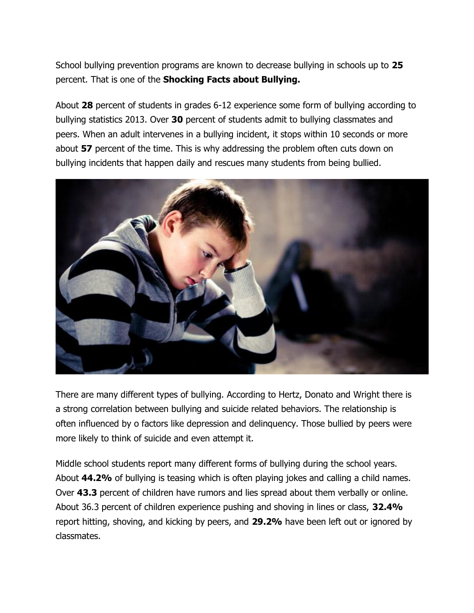School bullying prevention programs are known to decrease bullying in schools up to **25** percent. That is one of the **Shocking Facts about Bullying.**

About **28** percent of students in grades 6-12 experience some form of bullying according to bullying statistics 2013. Over **30** percent of students admit to bullying classmates and peers. When an adult intervenes in a bullying incident, it stops within 10 seconds or more about **57** percent of the time. This is why addressing the problem often cuts down on bullying incidents that happen daily and rescues many students from being bullied.



There are many different types of bullying. According to Hertz, Donato and Wright there is a strong correlation between bullying and suicide related behaviors. The relationship is often influenced by o factors like depression and delinquency. Those bullied by peers were more likely to think of suicide and even attempt it.

Middle school students report many different forms of bullying during the school years. About **44.2%** of bullying is teasing which is often playing jokes and calling a child names. Over **43.3** percent of children have rumors and lies spread about them verbally or online. About 36.3 percent of children experience pushing and shoving in lines or class, **32.4%** report hitting, shoving, and kicking by peers, and **29.2%** have been left out or ignored by classmates.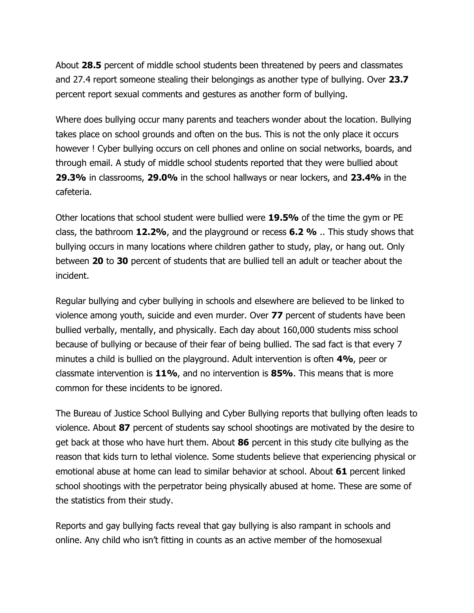About **28.5** percent of middle school students been threatened by peers and classmates and 27.4 report someone stealing their belongings as another type of bullying. Over **23.7** percent report sexual comments and gestures as another form of bullying.

Where does bullying occur many parents and teachers wonder about the location. Bullying takes place on school grounds and often on the bus. This is not the only place it occurs however ! Cyber bullying occurs on cell phones and online on social networks, boards, and through email. A study of middle school students reported that they were bullied about **29.3%** in classrooms, **29.0%** in the school hallways or near lockers, and **23.4%** in the cafeteria.

Other locations that school student were bullied were **19.5%** of the time the gym or PE class, the bathroom **12.2%**, and the playground or recess **6.2 %** .. This study shows that bullying occurs in many locations where children gather to study, play, or hang out. Only between **20** to **30** percent of students that are bullied tell an adult or teacher about the incident.

Regular bullying and cyber bullying in schools and elsewhere are believed to be linked to violence among youth, suicide and even murder. Over **77** percent of students have been bullied verbally, mentally, and physically. Each day about 160,000 students miss school because of bullying or because of their fear of being bullied. The sad fact is that every 7 minutes a child is bullied on the playground. Adult intervention is often **4%**, peer or classmate intervention is **11%**, and no intervention is **85%**. This means that is more common for these incidents to be ignored.

The Bureau of Justice School Bullying and Cyber Bullying reports that bullying often leads to violence. About **87** percent of students say school shootings are motivated by the desire to get back at those who have hurt them. About **86** percent in this study cite bullying as the reason that kids turn to lethal violence. Some students believe that experiencing physical or emotional abuse at home can lead to similar behavior at school. About **61** percent linked school shootings with the perpetrator being physically abused at home. These are some of the statistics from their study.

Reports and gay bullying facts reveal that gay bullying is also rampant in schools and online. Any child who isn"t fitting in counts as an active member of the homosexual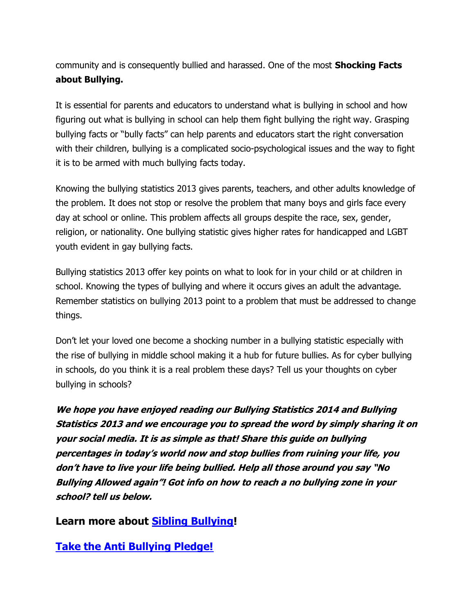community and is consequently bullied and harassed. One of the most **Shocking Facts about Bullying.**

It is essential for parents and educators to understand what is bullying in school and how figuring out what is bullying in school can help them fight bullying the right way. Grasping bullying facts or "bully facts" can help parents and educators start the right conversation with their children, bullying is a complicated socio-psychological issues and the way to fight it is to be armed with much bullying facts today.

Knowing the bullying statistics 2013 gives parents, teachers, and other adults knowledge of the problem. It does not stop or resolve the problem that many boys and girls face every day at school or online. This problem affects all groups despite the race, sex, gender, religion, or nationality. One bullying statistic gives higher rates for handicapped and LGBT youth evident in gay bullying facts.

Bullying statistics 2013 offer key points on what to look for in your child or at children in school. Knowing the types of bullying and where it occurs gives an adult the advantage. Remember statistics on bullying 2013 point to a problem that must be addressed to change things.

Don"t let your loved one become a shocking number in a bullying statistic especially with the rise of bullying in middle school making it a hub for future bullies. As for cyber bullying in schools, do you think it is a real problem these days? Tell us your thoughts on cyber bullying in schools?

**We hope you have enjoyed reading our Bullying Statistics 2014 and Bullying Statistics 2013 and we encourage you to spread the word by simply sharing it on your social media. It is as simple as that! Share this guide on bullying percentages in today's world now and stop bullies from ruining your life, you don't have to live your life being bullied. Help all those around you say "No Bullying Allowed again"! Got info on how to reach a no bullying zone in your school? tell us below.**

### **Learn more about [Sibling Bullying!](http://nobullying.com/sibling-bullying/)**

**[Take the Anti Bullying Pledge!](http://nobullying.com/anti-bullying-pledge/)**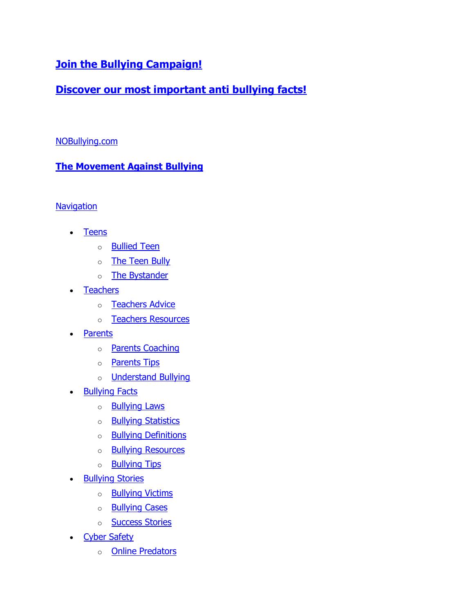# **[Join the Bullying Campaign!](http://nobullying.com/bullying-campaign/)**

# **[Discover our most important anti bullying facts!](http://nobullying.com/anti-bullying-facts/)**

#### [NOBullying.com](http://nobullying.com/)

### **[The Movement Against Bullying](http://nobullying.com/)**

#### **Navigation**

- [Teens](http://nobullying.com/category/teens/)
	- o **[Bullied Teen](http://nobullying.com/category/teens/bullied/)**
	- o [The Teen Bully](http://nobullying.com/category/teens/the-bully/)
	- o [The Bystander](http://nobullying.com/category/teens/the-bystander/)
- [Teachers](http://nobullying.com/category/teachers/)
	- o [Teachers Advice](http://nobullying.com/category/teachers/advice/)
	- o [Teachers Resources](http://nobullying.com/category/teachers/resources/)
- [Parents](http://nobullying.com/category/parents/)
	- o **[Parents Coaching](http://nobullying.com/category/parents/coaching/)**
	- o [Parents Tips](http://nobullying.com/category/parents/tips/)
	- o [Understand Bullying](http://nobullying.com/category/parents/understand-bullying/)
- [Bullying Facts](http://nobullying.com/category/bullying-facts/)
	- o **[Bullying Laws](http://nobullying.com/category/bullying-facts/bullying-laws/)**
	- o **[Bullying Statistics](http://nobullying.com/category/bullying-facts/bullying-statistics/)**
	- o [Bullying Definitions](http://nobullying.com/category/bullying-facts/definitions/)
	- o [Bullying Resources](http://nobullying.com/category/bullying-facts/resources-bullying-facts/)
	- o [Bullying Tips](http://nobullying.com/category/bullying-facts/tips-bullying-facts/)
- [Bullying Stories](http://nobullying.com/category/bullying-stories/)
	- o **[Bullying Victims](http://nobullying.com/category/bullying-stories/bullying-victims/)**
	- o **[Bullying Cases](http://nobullying.com/category/bullying-stories/bullying-cases/)**
	- o [Success Stories](http://nobullying.com/category/bullying-stories/success-stories/)
- [Cyber Safety](http://nobullying.com/category/cyber-safety/)
	- o [Online Predators](http://nobullying.com/category/cyber-safety/online-predators/)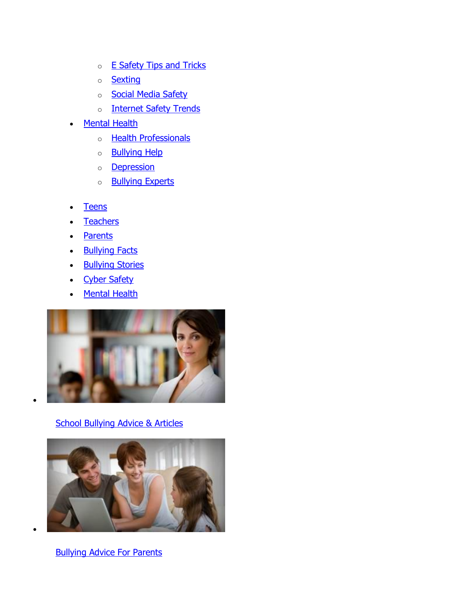- o **[E Safety Tips and Tricks](http://nobullying.com/category/cyber-safety/safety-tips-and-tricks/)**
- o [Sexting](http://nobullying.com/category/cyber-safety/sexting/)
- o **[Social Media Safety](http://nobullying.com/category/cyber-safety/social-media-safety/)**
- o **[Internet Safety Trends](http://nobullying.com/category/cyber-safety/trends/)**
- **[Mental Health](http://nobullying.com/category/mental-health/)** 
	- o [Health Professionals](http://nobullying.com/category/mental-health/health-professionals/)
	- o [Bullying Help](http://nobullying.com/category/mental-health/health-professionals/bullying/)
	- o [Depression](http://nobullying.com/category/mental-health/health-professionals/depression/)
	- o **[Bullying Experts](http://nobullying.com/category/mental-health/health-professionals/bullying-experts/)**
- [Teens](http://nobullying.com/category/teens/)
- [Teachers](http://nobullying.com/category/teachers/)
- [Parents](http://nobullying.com/category/parents/)
- [Bullying Facts](http://nobullying.com/category/bullying-facts/)
- **[Bullying Stories](http://nobullying.com/category/bullying-stories/)**
- [Cyber Safety](http://nobullying.com/category/cyber-safety/)
- [Mental Health](http://nobullying.com/category/mental-health/)



### [School Bullying Advice & Articles](http://nobullying.com/category/teachers/)

 $\bullet$ 

 $\bullet$ 



[Bullying Advice For Parents](http://nobullying.com/category/parents/)